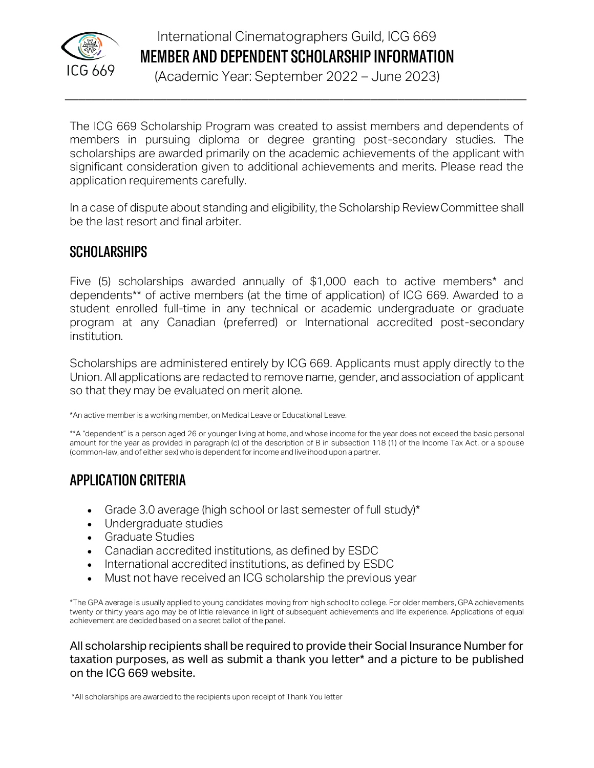

# International Cinematographers Guild, ICG 669 MEMBER AND DEPENDENT SCHOLARSHIP INFORMATION

(Academic Year: September 2022 – June 2023)

 $\_$  , and the contribution of the contribution of  $\mathcal{L}_1$  , and the contribution of  $\mathcal{L}_2$  , and  $\mathcal{L}_3$ 

The ICG 669 Scholarship Program was created to assist members and dependents of members in pursuing diploma or degree granting post-secondary studies. The scholarships are awarded primarily on the academic achievements of the applicant with significant consideration given to additional achievements and merits. Please read the application requirements carefully.

In a case of dispute about standing and eligibility, the Scholarship ReviewCommittee shall be the last resort and final arbiter.

## **SCHOLARSHIPS**

Five (5) scholarships awarded annually of \$1,000 each to active members\* and dependents\*\* of active members (at the time of application) of ICG 669. Awarded to a student enrolled full-time in any technical or academic undergraduate or graduate program at any Canadian (preferred) or International accredited post-secondary institution.

Scholarships are administered entirely by ICG 669. Applicants must apply directly to the Union. All applications are redacted to remove name, gender, and association of applicant so that they may be evaluated on merit alone.

\*An active member is a working member, on Medical Leave or Educational Leave.

\*\*A "dependent" is a person aged 26 or younger living at home, and whose income for the year does not exceed the basic personal amount for the year as provided in paragraph (c) of the description of B in subsection 118 (1) of the Income Tax Act, or a spouse (common-law, and of either sex) who is dependent for income and livelihood upon a partner.

# APPLICATION CRITERIA

- Grade 3.0 average (high school or last semester of full study)\*
- Undergraduate studies
- Graduate Studies
- Canadian accredited institutions, as defined by ESDC
- International accredited institutions, as defined by ESDC
- Must not have received an ICG scholarship the previous year

\*The GPA average is usually applied to young candidates moving from high school to college. For older members, GPA achievements twenty or thirty years ago may be of little relevance in light of subsequent achievements and life experience. Applications of equal achievement are decided based on a secret ballot of the panel.

All scholarship recipients shall be required to provide their Social Insurance Number for taxation purposes, as well as submit a thank you letter\* and a picture to be published on the ICG 669 website.

\*All scholarships are awarded to the recipients upon receipt of Thank You letter